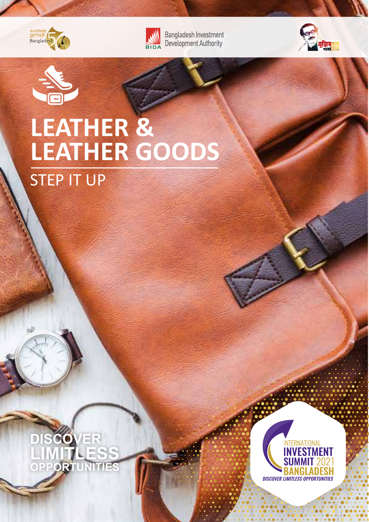



**EN Bangladesh Investment**<br> **BIDA** Development Authority





## **LEATHER & LEATHER GOODS** STEP IT UP

**DISCOVER LIMITLESS OPPORTUNITIES**

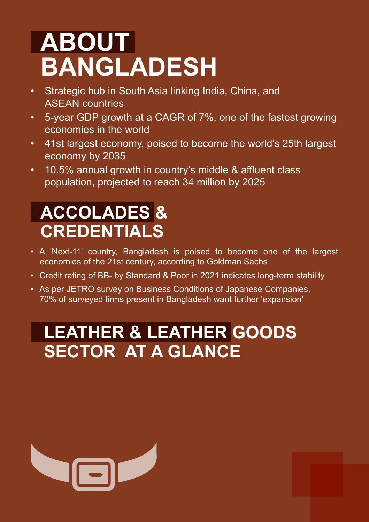# **ABOUT BANGLADESH**

- Strategic hub in South Asia linking India, China, and ASEAN countries
- 5-year GDP growth at a CAGR of 7%, one of the fastest growing economies in the world
- 41st largest economy, poised to become the world's 25th largest economy by 2035
- 10.5% annual growth in country's middle & affluent class population, projected to reach 34 million by 2025

## **ACCOLADES & CREDENTIALS**

- A 'Next-11' country, Bangladesh is poised to become one of the largest economies of the 21st century, according to Goldman Sachs
- Credit rating of BB- by Standard & Poor in 2021 indicates long-term stability
- As per JETRO survey on Business Conditions of Japanese Companies, 70% of surveyed firms present in Bangladesh want further 'expansion'

#### **LEATHER & LEATHER GOODS SECTOR AT A GLANCE**

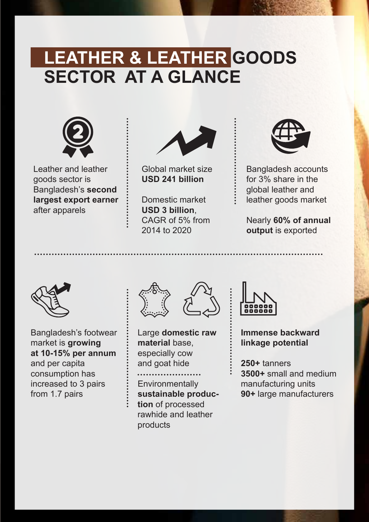#### **LEATHER & LEATHER GOODS SECTOR AT A GLANCE**



Leather and leather goods sector is Bangladesh's **second largest export earner** after apparels



Global market size **USD 241 billion**

Domestic market **USD 3 billion**, CAGR of 5% from 2014 to 2020



Bangladesh accounts for 3% share in the global leather and leather goods market

Nearly **60% of annual output** is exported



Bangladesh's footwear market is **growing at 10-15% per annum** and per capita consumption has increased to 3 pairs from 1.7 pairs



Large **domestic raw material** base, especially cow and goat hide . . . . . . . . . . . . . .

**Environmentally sustainable production** of processed rawhide and leather products



**Immense backward linkage potential** 

**250+** tanners **3500+** small and medium manufacturing units **90+** large manufacturers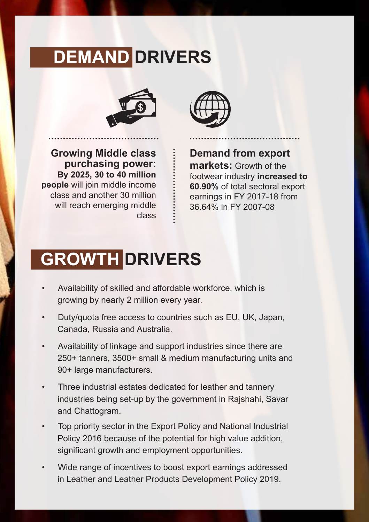#### **DEMAND DRIVERS**



**Growing Middle class purchasing power: By 2025, 30 to 40 million people** will join middle income class and another 30 million will reach emerging middle class



**Demand from export markets:** Growth of the footwear industry **increased to 60.90%** of total sectoral export earnings in FY 2017-18 from 36.64% in FY 2007-08

## **GROWTH DRIVERS**

- Availability of skilled and affordable workforce, which is growing by nearly 2 million every year.
- Duty/quota free access to countries such as EU, UK, Japan, Canada, Russia and Australia.
- Availability of linkage and support industries since there are 250+ tanners, 3500+ small & medium manufacturing units and 90+ large manufacturers.
- Three industrial estates dedicated for leather and tannery industries being set-up by the government in Rajshahi, Savar and Chattogram.
- Top priority sector in the Export Policy and National Industrial Policy 2016 because of the potential for high value addition, significant growth and employment opportunities.
- Wide range of incentives to boost export earnings addressed in Leather and Leather Products Development Policy 2019.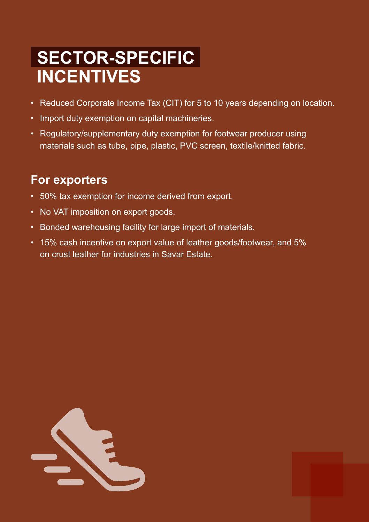#### **SECTOR-SPECIFIC INCENTIVES**

- Reduced Corporate Income Tax (CIT) for 5 to 10 years depending on location.
- Import duty exemption on capital machineries.
- Regulatory/supplementary duty exemption for footwear producer using materials such as tube, pipe, plastic, PVC screen, textile/knitted fabric.

#### **For exporters**

- 50% tax exemption for income derived from export.
- No VAT imposition on export goods.
- Bonded warehousing facility for large import of materials.
- 15% cash incentive on export value of leather goods/footwear, and 5% on crust leather for industries in Savar Estate.